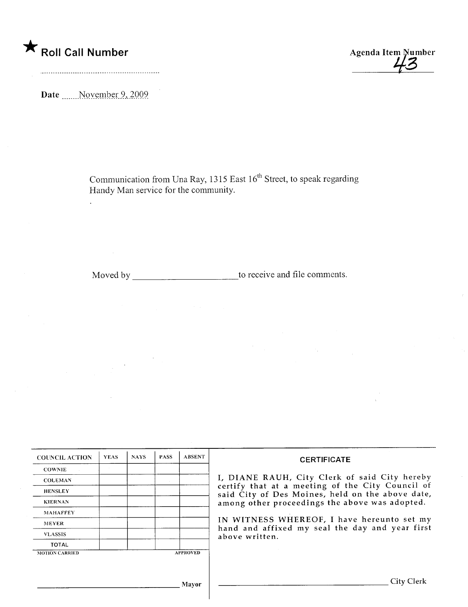|  |  |  | Roll Call Number |
|--|--|--|------------------|
|--|--|--|------------------|

**Agenda Item Number** 

Date \_\_\_\_\_ November 9, 2009

 $\ddot{\phantom{a}}$ 

Communication from Una Ray, 1315 East 16<sup>th</sup> Street, to speak regarding Handy Man service for the community.

| <b>COUNCIL ACTION</b> | <b>YEAS</b> | <b>NAYS</b> | <b>PASS</b> | <b>ABSENT</b>   | <b>CERTIFICATE</b>                                                                                                                                                                                                                                                                                                         |
|-----------------------|-------------|-------------|-------------|-----------------|----------------------------------------------------------------------------------------------------------------------------------------------------------------------------------------------------------------------------------------------------------------------------------------------------------------------------|
| <b>COWNIE</b>         |             |             |             |                 | I, DIANE RAUH, City Clerk of said City hereby<br>certify that at a meeting of the City Council of<br>said City of Des Moines, held on the above date,<br>among other proceedings the above was adopted.<br>IN WITNESS WHEREOF, I have hereunto set my<br>hand and affixed my seal the day and year first<br>above written. |
| <b>COLEMAN</b>        |             |             |             |                 |                                                                                                                                                                                                                                                                                                                            |
| <b>HENSLEY</b>        |             |             |             |                 |                                                                                                                                                                                                                                                                                                                            |
| <b>KIERNAN</b>        |             |             |             |                 |                                                                                                                                                                                                                                                                                                                            |
| <b>MAHAFFEY</b>       |             |             |             |                 |                                                                                                                                                                                                                                                                                                                            |
| <b>MEYER</b>          |             |             |             |                 |                                                                                                                                                                                                                                                                                                                            |
| <b>VLASSIS</b>        |             |             |             |                 |                                                                                                                                                                                                                                                                                                                            |
| <b>TOTAL</b>          |             |             |             |                 |                                                                                                                                                                                                                                                                                                                            |
| <b>MOTION CARRIED</b> |             |             |             | <b>APPROVED</b> |                                                                                                                                                                                                                                                                                                                            |
|                       |             |             |             |                 |                                                                                                                                                                                                                                                                                                                            |
|                       |             |             |             |                 |                                                                                                                                                                                                                                                                                                                            |
|                       |             |             |             | Mavor           | City Clerk                                                                                                                                                                                                                                                                                                                 |